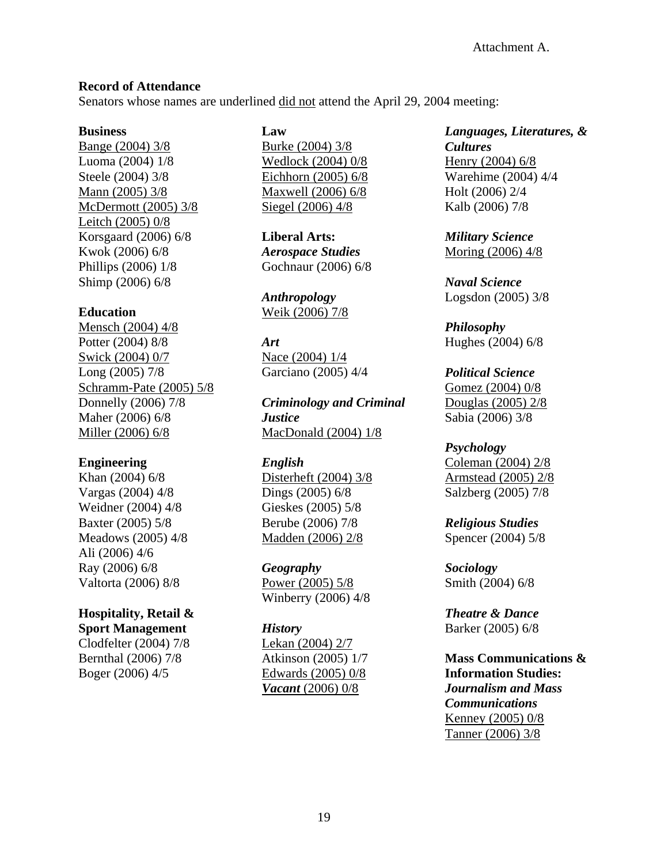## **Record of Attendance**

Senators whose names are underlined did not attend the April 29, 2004 meeting:

#### **Business**

Bange (2004) 3/8 Luoma (2004) 1/8 Steele (2004) 3/8 Mann (2005) 3/8 McDermott (2005) 3/8 Leitch (2005) 0/8 Korsgaard (2006) 6/8 Kwok (2006) 6/8 Phillips (2006) 1/8 Shimp (2006) 6/8

### **Education**

Mensch (2004) 4/8 Potter (2004) 8/8 Swick (2004) 0/7 Long (2005) 7/8 Schramm-Pate (2005) 5/8 Donnelly (2006) 7/8 Maher (2006) 6/8 Miller (2006) 6/8

#### **Engineering**

Khan (2004) 6/8 Vargas (2004) 4/8 Weidner (2004) 4/8 Baxter (2005) 5/8 Meadows (2005) 4/8 Ali (2006) 4/6 Ray (2006) 6/8 Valtorta (2006) 8/8

## **Hospitality, Retail &**

**Sport Management** Clodfelter (2004) 7/8 Bernthal (2006) 7/8 Boger (2006) 4/5

## **Law**

Burke (2004) 3/8 Wedlock (2004) 0/8 Eichhorn (2005) 6/8 Maxwell (2006) 6/8 Siegel (2006) 4/8

**Liberal Arts:**  *Aerospace Studies* Gochnaur (2006) 6/8

*Anthropology* Weik (2006) 7/8

### *Art*

Nace (2004) 1/4 Garciano (2005) 4/4

*Criminology and Criminal Justice*  MacDonald (2004) 1/8

## *English*

Disterheft (2004) 3/8 Dings (2005) 6/8 Gieskes (2005) 5/8 Berube (2006) 7/8 Madden (2006) 2/8

*Geography* Power (2005) 5/8 Winberry (2006) 4/8

#### *History*

Lekan (2004) 2/7 Atkinson (2005) 1/7 Edwards (2005) 0/8 *Vacant* (2006) 0/8

*Languages, Literatures, & Cultures* Henry (2004) 6/8 Warehime (2004) 4/4 Holt (2006) 2/4 Kalb (2006) 7/8

*Military Science*  Moring (2006) 4/8

*Naval Science*  Logsdon (2005) 3/8

*Philosophy* Hughes (2004) 6/8

*Political Science*  Gomez (2004) 0/8 Douglas (2005) 2/8 Sabia (2006) 3/8

#### *Psychology*

Coleman (2004) 2/8 Armstead (2005) 2/8 Salzberg (2005) 7/8

*Religious Studies*  Spencer (2004) 5/8

*Sociology*  Smith (2004) 6/8

*Theatre & Dance*  Barker (2005) 6/8

**Mass Communications & Information Studies:**  *Journalism and Mass Communications*  Kenney (2005) 0/8 Tanner (2006) 3/8